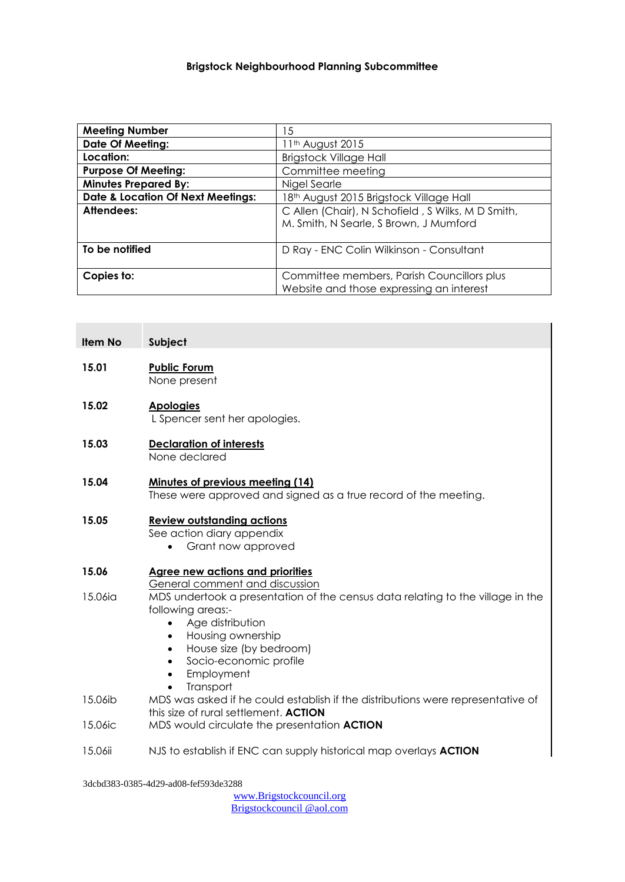| <b>Meeting Number</b>                        | 15                                                                                          |
|----------------------------------------------|---------------------------------------------------------------------------------------------|
| <b>Date Of Meeting:</b>                      | 11 <sup>th</sup> August 2015                                                                |
| Location:                                    | <b>Brigstock Village Hall</b>                                                               |
| <b>Purpose Of Meeting:</b>                   | Committee meeting                                                                           |
| <b>Minutes Prepared By:</b>                  | Nigel Searle                                                                                |
| <b>Date &amp; Location Of Next Meetings:</b> | 18th August 2015 Brigstock Village Hall                                                     |
| Attendees:                                   | C Allen (Chair), N Schofield, S Wilks, M D Smith,<br>M. Smith, N Searle, S Brown, J Mumford |
| To be notified                               | D Ray - ENC Colin Wilkinson - Consultant                                                    |
| Copies to:                                   | Committee members, Parish Councillors plus<br>Website and those expressing an interest      |

| <b>Item No</b> | Subject                                                                                                                                                                                                                                                                          |
|----------------|----------------------------------------------------------------------------------------------------------------------------------------------------------------------------------------------------------------------------------------------------------------------------------|
| 15.01          | <b>Public Forum</b><br>None present                                                                                                                                                                                                                                              |
| 15.02          | <b>Apologies</b><br>L Spencer sent her apologies.                                                                                                                                                                                                                                |
| 15.03          | <b>Declaration of interests</b><br>None declared                                                                                                                                                                                                                                 |
| 15.04          | Minutes of previous meeting (14)<br>These were approved and signed as a true record of the meeting.                                                                                                                                                                              |
| 15.05          | <b>Review outstanding actions</b><br>See action diary appendix<br>Grant now approved                                                                                                                                                                                             |
| 15.06          | <b>Agree new actions and priorities</b><br>General comment and discussion                                                                                                                                                                                                        |
| 15.06ia        | MDS undertook a presentation of the census data relating to the village in the<br>following areas:-<br>Age distribution<br>$\bullet$<br>Housing ownership<br>$\bullet$<br>House size (by bedroom)<br>$\bullet$<br>Socio-economic profile<br>$\bullet$<br>Employment<br>$\bullet$ |
| 15.06ib        | Transport<br>MDS was asked if he could establish if the distributions were representative of                                                                                                                                                                                     |
| 15.06ic        | this size of rural settlement. ACTION<br>MDS would circulate the presentation ACTION                                                                                                                                                                                             |
| 15.06ii        | NJS to establish if ENC can supply historical map overlays <b>ACTION</b>                                                                                                                                                                                                         |

3dcbd383-0385-4d29-ad08-fef593de3288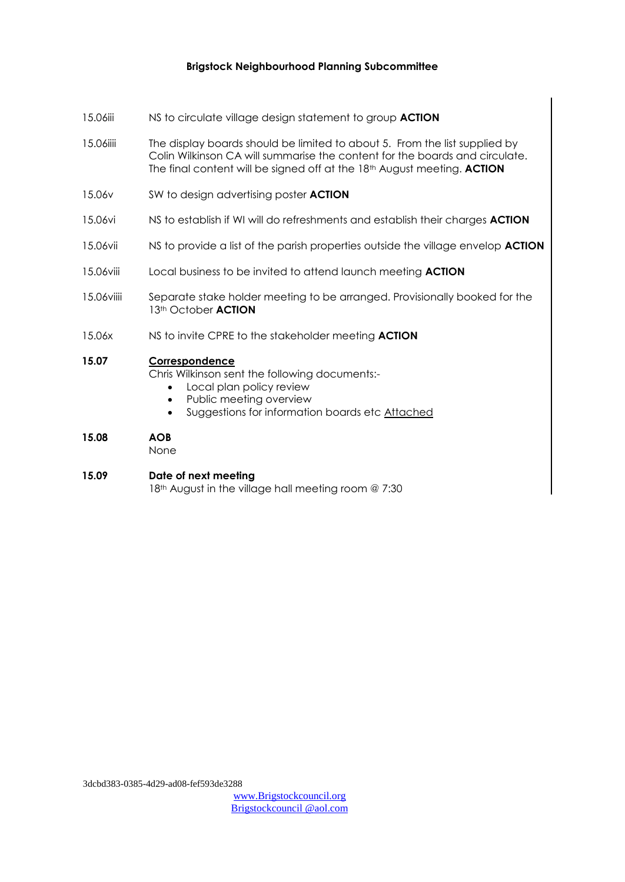- 15.06iii NS to circulate village design statement to group **ACTION**
- 15.06iiii The display boards should be limited to about 5. From the list supplied by Colin Wilkinson CA will summarise the content for the boards and circulate. The final content will be signed off at the 18th August meeting. **ACTION**
- 15.06v SW to design advertising poster **ACTION**
- 15.06vi NS to establish if WI will do refreshments and establish their charges **ACTION**
- 15.06vii NS to provide a list of the parish properties outside the village envelop **ACTION**
- 15.06viii Local business to be invited to attend launch meeting **ACTION**
- 15.06viiii Separate stake holder meeting to be arranged. Provisionally booked for the 13th October **ACTION**
- 15.06x NS to invite CPRE to the stakeholder meeting **ACTION**

### **15.07 Correspondence**

Chris Wilkinson sent the following documents:-

- Local plan policy review
- Public meeting overview
- Suggestions for information boards etc Attached

### **15.08 AOB**

None

#### **15.09 Date of next meeting**

18<sup>th</sup> August in the village hall meeting room @ 7:30

3dcbd383-0385-4d29-ad08-fef593de3288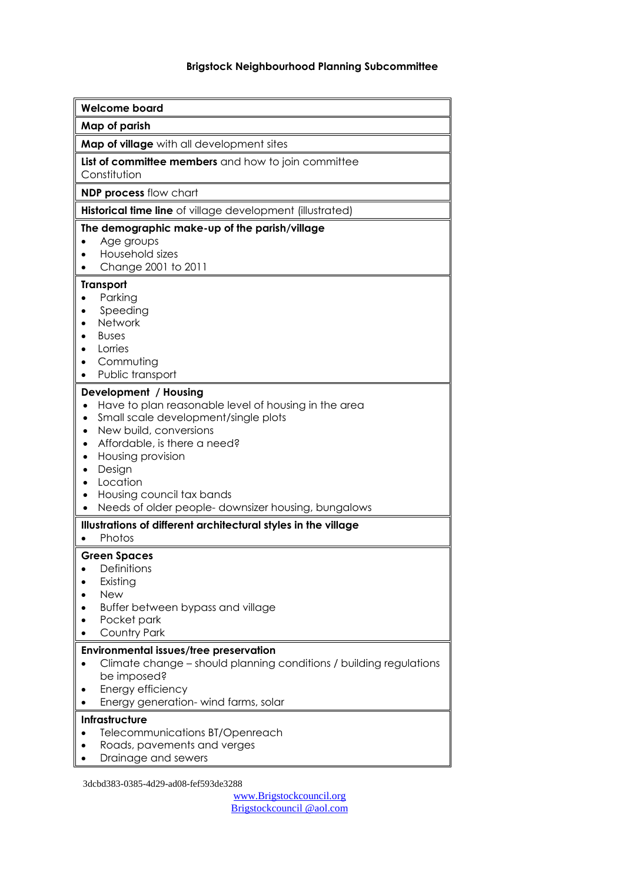| <b>Welcome board</b>                                                                                                                                                                                                                                                                                                                      |
|-------------------------------------------------------------------------------------------------------------------------------------------------------------------------------------------------------------------------------------------------------------------------------------------------------------------------------------------|
| Map of parish                                                                                                                                                                                                                                                                                                                             |
| Map of village with all development sites                                                                                                                                                                                                                                                                                                 |
| List of committee members and how to join committee<br>Constitution                                                                                                                                                                                                                                                                       |
| NDP process flow chart                                                                                                                                                                                                                                                                                                                    |
| Historical time line of village development (illustrated)                                                                                                                                                                                                                                                                                 |
| The demographic make-up of the parish/village<br>Age groups<br>Household sizes<br>Change 2001 to 2011                                                                                                                                                                                                                                     |
| <b>Transport</b><br>Parking<br>Speeding<br>Network<br><b>Buses</b><br>Lorries<br>Commuting<br>Public transport                                                                                                                                                                                                                            |
| Development / Housing<br>Have to plan reasonable level of housing in the area<br>Small scale development/single plots<br>$\bullet$<br>New build, conversions<br>٠<br>Affordable, is there a need?<br>٠<br>Housing provision<br>٠<br>Design<br>Location<br>Housing council tax bands<br>Needs of older people-downsizer housing, bungalows |
| Illustrations of different architectural styles in the village<br>Photos                                                                                                                                                                                                                                                                  |
| <b>Green Spaces</b><br>Definitions<br>Existing<br><b>New</b><br>Buffer between bypass and village<br>Pocket park<br>Country Park                                                                                                                                                                                                          |
| <b>Environmental issues/tree preservation</b><br>Climate change – should planning conditions / building regulations<br>be imposed?<br>Energy efficiency<br>Energy generation-wind farms, solar                                                                                                                                            |
| Infrastructure<br>Telecommunications BT/Openreach<br>Roads, pavements and verges<br>Drainage and sewers                                                                                                                                                                                                                                   |

3dcbd383-0385-4d29-ad08-fef593de3288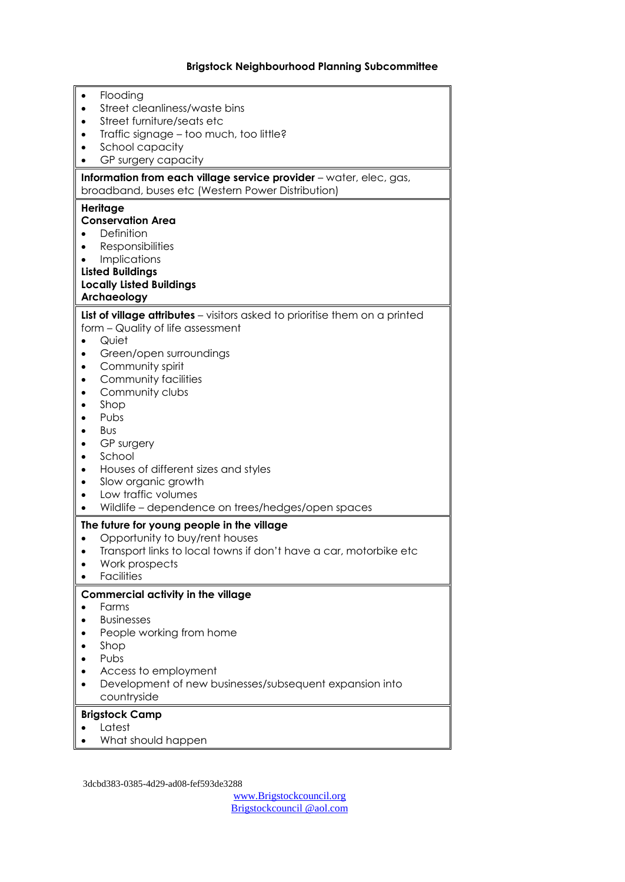| Flooding                                                                                                                |
|-------------------------------------------------------------------------------------------------------------------------|
| Street cleanliness/waste bins                                                                                           |
| Street furniture/seats etc                                                                                              |
| Traffic signage - too much, too little?                                                                                 |
| School capacity                                                                                                         |
| GP surgery capacity                                                                                                     |
| Information from each village service provider - water, elec, gas,<br>broadband, buses etc (Western Power Distribution) |
| Heritage                                                                                                                |
| <b>Conservation Area</b>                                                                                                |
| Definition                                                                                                              |
| <b>Responsibilities</b>                                                                                                 |
| <b>Implications</b>                                                                                                     |
| <b>Listed Buildings</b>                                                                                                 |
| <b>Locally Listed Buildings</b>                                                                                         |
| Archaeology                                                                                                             |
| List of village attributes - visitors asked to prioritise them on a printed                                             |
| form - Quality of life assessment                                                                                       |
| Quiet                                                                                                                   |
| Green/open surroundings                                                                                                 |
| Community spirit                                                                                                        |
| Community facilities                                                                                                    |
| Community clubs                                                                                                         |
| Shop                                                                                                                    |
| Pubs                                                                                                                    |
| <b>Bus</b>                                                                                                              |
| GP surgery                                                                                                              |
| School                                                                                                                  |
| Houses of different sizes and styles                                                                                    |
| Slow organic growth                                                                                                     |
| Low traffic volumes                                                                                                     |
| Wildlife - dependence on trees/hedges/open spaces                                                                       |
| The future for young people in the village                                                                              |
| Opportunity to buy/rent houses                                                                                          |
| Transport links to local towns if don't have a car, motorbike etc                                                       |
| Work prospects                                                                                                          |
| <b>Facilities</b>                                                                                                       |
| Commercial activity in the village                                                                                      |
| Farms                                                                                                                   |
| <b>Businesses</b>                                                                                                       |
| People working from home                                                                                                |
| Shop                                                                                                                    |
| Pubs                                                                                                                    |
| Access to employment                                                                                                    |
| Development of new businesses/subsequent expansion into                                                                 |
| countryside                                                                                                             |
| <b>Brigstock Camp</b>                                                                                                   |
| Latest                                                                                                                  |
| What should happen                                                                                                      |
|                                                                                                                         |

3dcbd383-0385-4d29-ad08-fef593de3288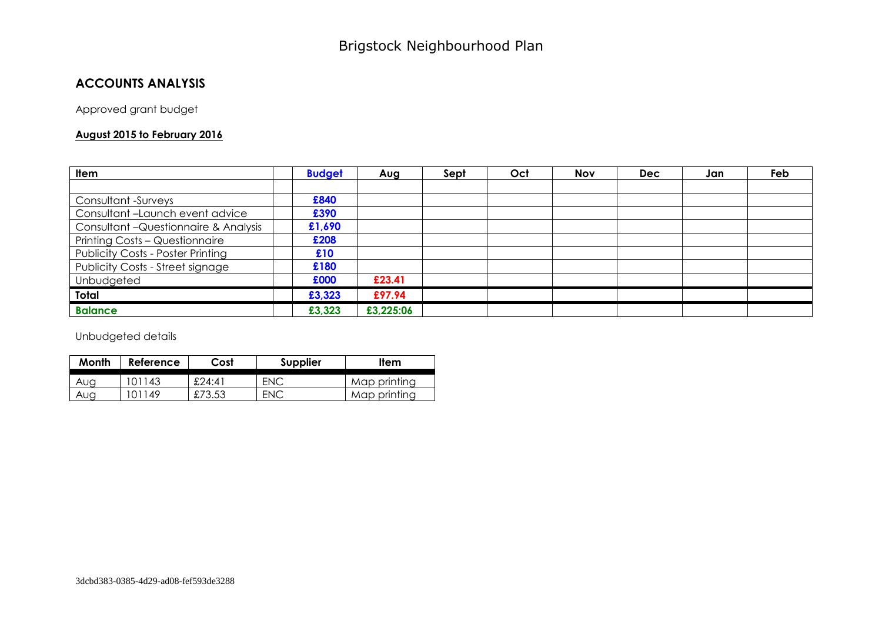## **ACCOUNTS ANALYSIS**

Approved grant budget

#### **August 2015 to February 2016**

| Item                                     | <b>Budget</b> | Aug       | Sept | Oct | <b>Nov</b> | <b>Dec</b> | Jan | Feb |
|------------------------------------------|---------------|-----------|------|-----|------------|------------|-----|-----|
|                                          |               |           |      |     |            |            |     |     |
| <b>Consultant -Surveys</b>               | £840          |           |      |     |            |            |     |     |
| Consultant-Launch event advice           | £390          |           |      |     |            |            |     |     |
| Consultant - Questionnaire & Analysis    | £1,690        |           |      |     |            |            |     |     |
| <b>Printing Costs - Questionnaire</b>    | £208          |           |      |     |            |            |     |     |
| <b>Publicity Costs - Poster Printing</b> | £10           |           |      |     |            |            |     |     |
| Publicity Costs - Street signage         | £180          |           |      |     |            |            |     |     |
| Unbudgeted                               | £000          | £23.41    |      |     |            |            |     |     |
| <b>Total</b>                             | £3,323        | £97.94    |      |     |            |            |     |     |
| <b>Balance</b>                           | £3,323        | £3,225:06 |      |     |            |            |     |     |

Unbudgeted details

| Month | Reference | Cost   | <b>Supplier</b> | <b>Item</b>  |
|-------|-----------|--------|-----------------|--------------|
| Aug   | 101143    | £24:41 | ENC             | Map printing |
| Aug   | 01149     | £73.53 | ENC             | Map printing |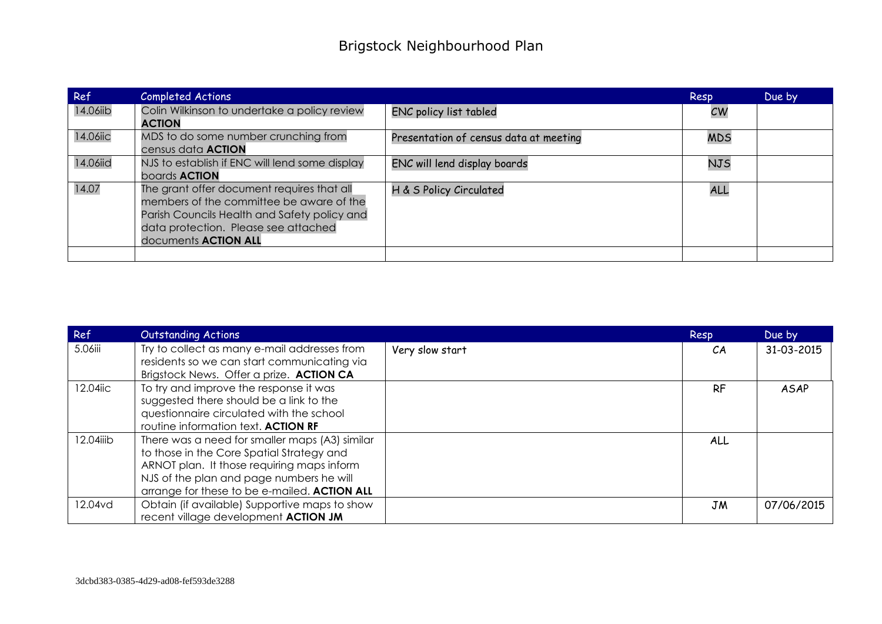| Ref      | <b>Completed Actions</b>                                                                                                                                                                                      |                                        | Resp       | Due by |
|----------|---------------------------------------------------------------------------------------------------------------------------------------------------------------------------------------------------------------|----------------------------------------|------------|--------|
| 14.06iib | Colin Wilkinson to undertake a policy review<br><b>ACTION</b>                                                                                                                                                 | ENC policy list tabled                 | CW         |        |
| 14.06iic | MDS to do some number crunching from<br>census data <b>ACTION</b>                                                                                                                                             | Presentation of census data at meeting | <b>MDS</b> |        |
| 14.06iid | NJS to establish if ENC will lend some display<br>boards <b>ACTION</b>                                                                                                                                        | ENC will lend display boards           | <b>NJS</b> |        |
| 14.07    | The grant offer document requires that all<br>members of the committee be aware of the<br>Parish Councils Health and Safety policy and<br>data protection. Please see attached<br>documents <b>ACTION ALL</b> | H & S Policy Circulated                | ALL        |        |
|          |                                                                                                                                                                                                               |                                        |            |        |

| Ref       | <b>Outstanding Actions</b>                     |                 | Resp      | Due by      |
|-----------|------------------------------------------------|-----------------|-----------|-------------|
| 5.06iii   | Try to collect as many e-mail addresses from   | Very slow start | CA        | 31-03-2015  |
|           | residents so we can start communicating via    |                 |           |             |
|           | Brigstock News. Offer a prize. ACTION CA       |                 |           |             |
| 12.04iic  | To try and improve the response it was         |                 | <b>RF</b> | <b>ASAP</b> |
|           | suggested there should be a link to the        |                 |           |             |
|           | questionnaire circulated with the school       |                 |           |             |
|           | routine information text. ACTION RF            |                 |           |             |
| 12.04iiib | There was a need for smaller maps (A3) similar |                 | ALL       |             |
|           | to those in the Core Spatial Strategy and      |                 |           |             |
|           | ARNOT plan. It those requiring maps inform     |                 |           |             |
|           | NJS of the plan and page numbers he will       |                 |           |             |
|           | arrange for these to be e-mailed. ACTION ALL   |                 |           |             |
| 12.04vd   | Obtain (if available) Supportive maps to show  |                 | JM        | 07/06/2015  |
|           | recent village development <b>ACTION JM</b>    |                 |           |             |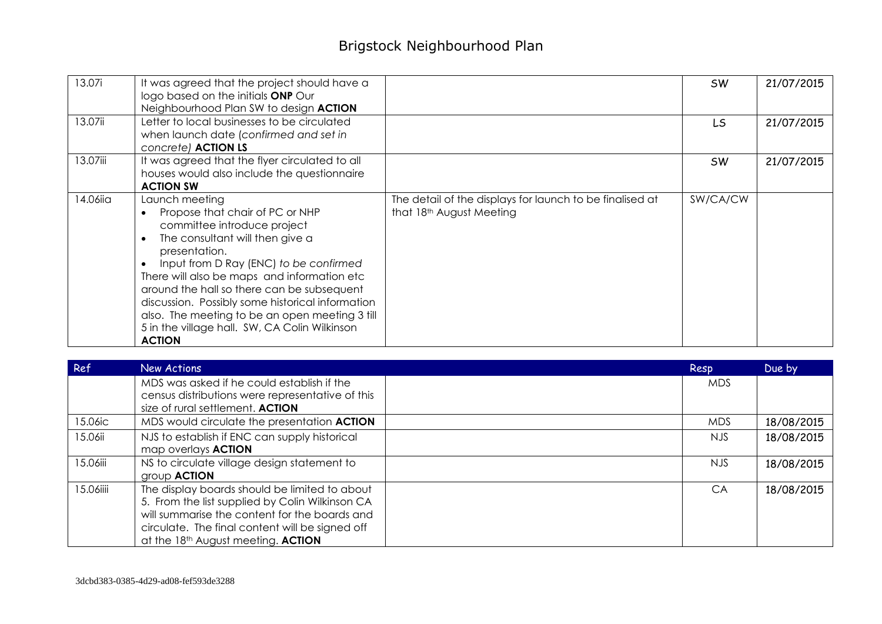# Brigstock Neighbourhood Plan

| 13.07i   | It was agreed that the project should have a<br>logo based on the initials ONP Our<br>Neighbourhood Plan SW to design ACTION                                                                                                                                                                                                                                                                                                                        |                                                                                      | <b>SW</b> | 21/07/2015 |
|----------|-----------------------------------------------------------------------------------------------------------------------------------------------------------------------------------------------------------------------------------------------------------------------------------------------------------------------------------------------------------------------------------------------------------------------------------------------------|--------------------------------------------------------------------------------------|-----------|------------|
| 13.07ii  | Letter to local businesses to be circulated<br>when launch date (confirmed and set in<br>concrete) ACTION LS                                                                                                                                                                                                                                                                                                                                        |                                                                                      | LS        | 21/07/2015 |
| 13.07iii | It was agreed that the flyer circulated to all<br>houses would also include the questionnaire<br><b>ACTION SW</b>                                                                                                                                                                                                                                                                                                                                   |                                                                                      | <b>SW</b> | 21/07/2015 |
| 14.06iia | Launch meeting<br>Propose that chair of PC or NHP<br>committee introduce project<br>The consultant will then give a<br>presentation.<br>Input from D Ray (ENC) to be confirmed<br>There will also be maps and information etc<br>around the hall so there can be subsequent<br>discussion. Possibly some historical information<br>also. The meeting to be an open meeting 3 till<br>5 in the village hall. SW, CA Colin Wilkinson<br><b>ACTION</b> | The detail of the displays for launch to be finalised at<br>that 18th August Meeting | SW/CA/CW  |            |

| Ref       | New Actions                                                                                                                                                                                                                                | Resp       | Due by     |
|-----------|--------------------------------------------------------------------------------------------------------------------------------------------------------------------------------------------------------------------------------------------|------------|------------|
|           | MDS was asked if he could establish if the<br>census distributions were representative of this<br>size of rural settlement. ACTION                                                                                                         | <b>MDS</b> |            |
| 15.06ic   | MDS would circulate the presentation <b>ACTION</b>                                                                                                                                                                                         | MDS.       | 18/08/2015 |
| 15.06ii   | NJS to establish if ENC can supply historical<br>map overlays <b>ACTION</b>                                                                                                                                                                | <b>NJS</b> | 18/08/2015 |
| 15.06iii  | NS to circulate village design statement to<br>group <b>ACTION</b>                                                                                                                                                                         | NJS.       | 18/08/2015 |
| 15.06iiii | The display boards should be limited to about<br>5. From the list supplied by Colin Wilkinson CA<br>will summarise the content for the boards and<br>circulate. The final content will be signed off<br>at the 18th August meeting. ACTION | CA         | 18/08/2015 |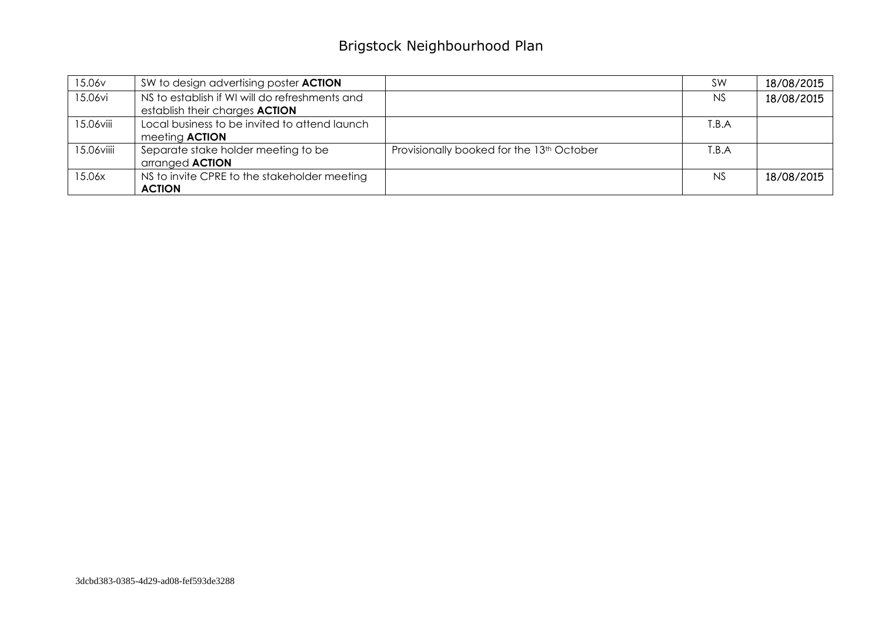# Brigstock Neighbourhood Plan

| 15.06v     | SW to design advertising poster <b>ACTION</b>  |                                                       | SW        | 18/08/2015 |
|------------|------------------------------------------------|-------------------------------------------------------|-----------|------------|
| 15.06vi    | NS to establish if WI will do refreshments and |                                                       | <b>NS</b> | 18/08/2015 |
|            | establish their charges <b>ACTION</b>          |                                                       |           |            |
| 15.06viii  | Local business to be invited to attend launch  |                                                       | T.B.A     |            |
|            | meeting <b>ACTION</b>                          |                                                       |           |            |
| 15.06viiii | Separate stake holder meeting to be            | Provisionally booked for the 13 <sup>th</sup> October | T.B.A     |            |
|            | arranged <b>ACTION</b>                         |                                                       |           |            |
| 15.06x     | NS to invite CPRE to the stakeholder meeting   |                                                       | <b>NS</b> | 18/08/2015 |
|            | <b>ACTION</b>                                  |                                                       |           |            |